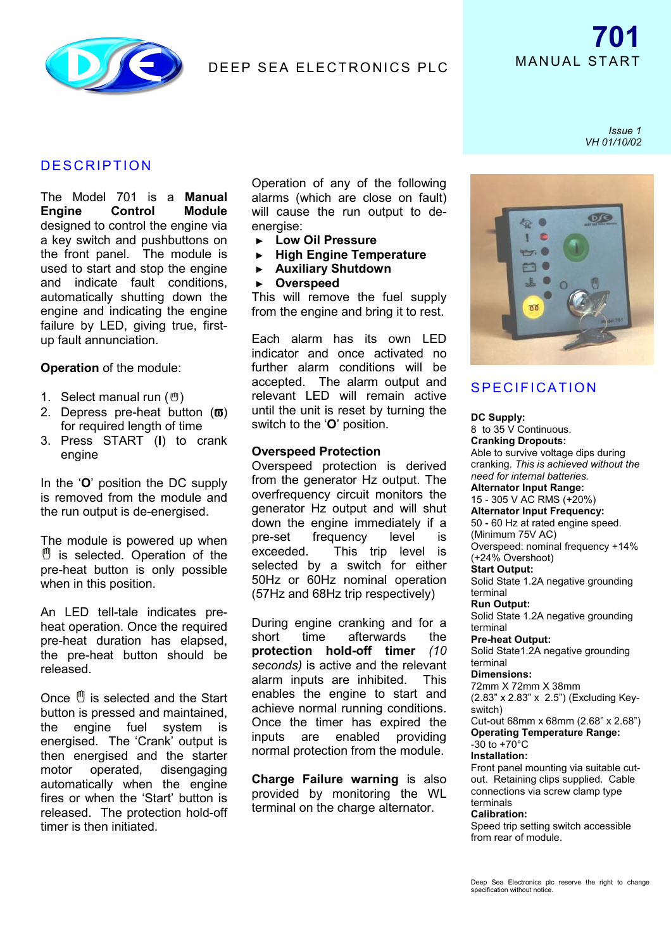

### **DESCRIPTION**

The Model 701 is a **Manual Engine Control Module** designed to control the engine via a key switch and pushbuttons on the front panel. The module is used to start and stop the engine and indicate fault conditions, automatically shutting down the engine and indicating the engine failure by LED, giving true, firstup fault annunciation.

**Operation** of the module:

- 1. Select manual run  $(\mathcal{O})$
- 2. Depress pre-heat button  $(\boldsymbol{\overline{\omega}})$ for required length of time
- 3. Press START (**I**) to crank engine

In the '**O**' position the DC supply is removed from the module and the run output is de-energised.

The module is powered up when  $^{\prime\prime\prime}$  is selected. Operation of the pre-heat button is only possible when in this position.

An LED tell-tale indicates preheat operation. Once the required pre-heat duration has elapsed, the pre-heat button should be released.

Once  $\mathbb{O}$  is selected and the Start button is pressed and maintained, the engine fuel system is energised. The 'Crank' output is then energised and the starter motor operated, disengaging automatically when the engine fires or when the 'Start' button is released. The protection hold-off timer is then initiated.

Operation of any of the following alarms (which are close on fault) will cause the run output to deenergise:

- ► **Low Oil Pressure**
- ► **High Engine Temperature**
- ► **Auxiliary Shutdown**
- ► **Overspeed**

This will remove the fuel supply from the engine and bring it to rest.

Each alarm has its own LED indicator and once activated no further alarm conditions will be accepted. The alarm output and relevant LED will remain active until the unit is reset by turning the switch to the '**O**' position.

### **Overspeed Protection**

Overspeed protection is derived from the generator Hz output. The overfrequency circuit monitors the generator Hz output and will shut down the engine immediately if a pre-set frequency level is exceeded. This trip level is selected by a switch for either 50Hz or 60Hz nominal operation (57Hz and 68Hz trip respectively)

During engine cranking and for a short time afterwards the **protection hold-off timer** *(10 seconds)* is active and the relevant alarm inputs are inhibited. This enables the engine to start and achieve normal running conditions. Once the timer has expired the inputs are enabled providing normal protection from the module.

**Charge Failure warning** is also provided by monitoring the WL terminal on the charge alternator.

*Issue 1 VH 01/10/02*



## **SPECIFICATION**

**DC Supply:** 8 to 35 V Continuous. **Cranking Dropouts:** Able to survive voltage dips during cranking. *This is achieved without the need for internal batteries.* **Alternator Input Range:** 15 - 305 V AC RMS (+20%) **Alternator Input Frequency:** 50 - 60 Hz at rated engine speed. (Minimum 75V AC) Overspeed: nominal frequency +14% (+24% Overshoot) **Start Output:** Solid State 1.2A negative grounding terminal **Run Output:** Solid State 1.2A negative grounding terminal **Pre-heat Output:** Solid State1.2A negative grounding terminal **Dimensions:** 72mm X 72mm X 38mm (2.83" x 2.83" x 2.5") (Excluding Keyswitch) Cut-out 68mm x 68mm (2.68" x 2.68") **Operating Temperature Range:**  $-30$  to  $+70^{\circ}$ C **Installation:** Front panel mounting via suitable cutout. Retaining clips supplied. Cable connections via screw clamp type terminals **Calibration:** Speed trip setting switch accessible from rear of module.